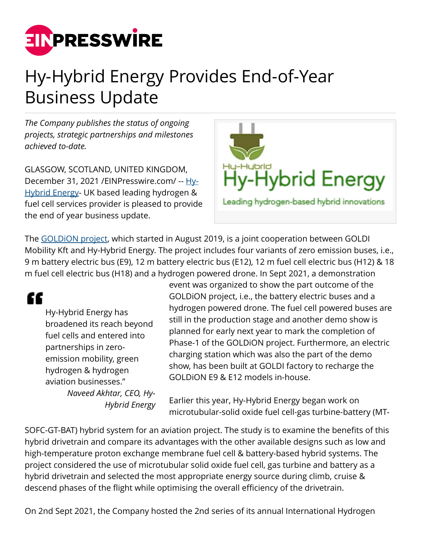

## Hy-Hybrid Energy Provides End-of-Year Business Update

*The Company publishes the status of ongoing projects, strategic partnerships and milestones achieved to-date.*

GLASGOW, SCOTLAND, UNITED KINGDOM, December 31, 2021 / [EINPresswire.com/](http://www.einpresswire.com) -- [Hy-](https://www.hy-hybrid.com/)[Hybrid Energy-](https://www.hy-hybrid.com/) UK based leading hydrogen & fuel cell services provider is pleased to provide the end of year business update.



The [GOLDiON project](https://www.einnews.com/pr_news/552234863/goldi-mobility-hy-hybrid-energy-celebrate-goldion-project-s-first-milestone), which started in August 2019, is a joint cooperation between GOLDI Mobility Kft and Hy-Hybrid Energy. The project includes four variants of zero emission buses, i.e., 9 m battery electric bus (E9), 12 m battery electric bus (E12), 12 m fuel cell electric bus (H12) & 18 m fuel cell electric bus (H18) and a hydrogen powered drone. In Sept 2021, a demonstration

"

Hy-Hybrid Energy has broadened its reach beyond fuel cells and entered into partnerships in zeroemission mobility, green hydrogen & hydrogen aviation businesses." *Naveed Akhtar, CEO, Hy-Hybrid Energy* event was organized to show the part outcome of the GOLDiON project, i.e., the battery electric buses and a hydrogen powered drone. The fuel cell powered buses are still in the production stage and another demo show is planned for early next year to mark the completion of Phase-1 of the GOLDiON project. Furthermore, an electric charging station which was also the part of the demo show, has been built at GOLDI factory to recharge the GOLDiON E9 & E12 models in-house.

Earlier this year, Hy-Hybrid Energy began work on microtubular-solid oxide fuel cell-gas turbine-battery (MT-

SOFC-GT-BAT) hybrid system for an aviation project. The study is to examine the benefits of this hybrid drivetrain and compare its advantages with the other available designs such as low and high-temperature proton exchange membrane fuel cell & battery-based hybrid systems. The project considered the use of microtubular solid oxide fuel cell, gas turbine and battery as a hybrid drivetrain and selected the most appropriate energy source during climb, cruise & descend phases of the flight while optimising the overall efficiency of the drivetrain.

On 2nd Sept 2021, the Company hosted the 2nd series of its annual International Hydrogen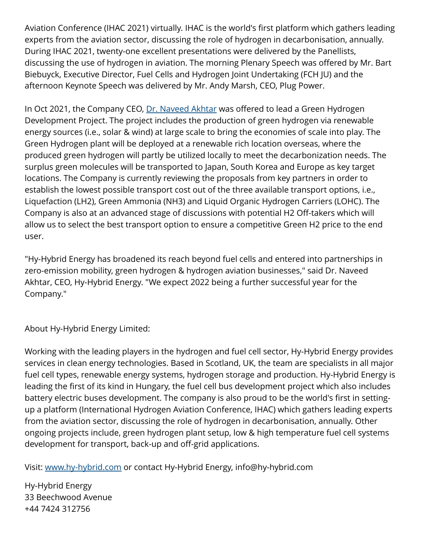Aviation Conference (IHAC 2021) virtually. IHAC is the world's first platform which gathers leading experts from the aviation sector, discussing the role of hydrogen in decarbonisation, annually. During IHAC 2021, twenty-one excellent presentations were delivered by the Panellists, discussing the use of hydrogen in aviation. The morning Plenary Speech was offered by Mr. Bart Biebuyck, Executive Director, Fuel Cells and Hydrogen Joint Undertaking (FCH JU) and the afternoon Keynote Speech was delivered by Mr. Andy Marsh, CEO, Plug Power.

In Oct 2021, the Company CEO, [Dr. Naveed Akhtar](https://www.hy-hybrid.com/about-us) was offered to lead a Green Hydrogen Development Project. The project includes the production of green hydrogen via renewable energy sources (i.e., solar & wind) at large scale to bring the economies of scale into play. The Green Hydrogen plant will be deployed at a renewable rich location overseas, where the produced green hydrogen will partly be utilized locally to meet the decarbonization needs. The surplus green molecules will be transported to Japan, South Korea and Europe as key target locations. The Company is currently reviewing the proposals from key partners in order to establish the lowest possible transport cost out of the three available transport options, i.e., Liquefaction (LH2), Green Ammonia (NH3) and Liquid Organic Hydrogen Carriers (LOHC). The Company is also at an advanced stage of discussions with potential H2 Off-takers which will allow us to select the best transport option to ensure a competitive Green H2 price to the end user.

"Hy-Hybrid Energy has broadened its reach beyond fuel cells and entered into partnerships in zero-emission mobility, green hydrogen & hydrogen aviation businesses," said Dr. Naveed Akhtar, CEO, Hy-Hybrid Energy. "We expect 2022 being a further successful year for the Company."

About Hy-Hybrid Energy Limited:

Working with the leading players in the hydrogen and fuel cell sector, Hy-Hybrid Energy provides services in clean energy technologies. Based in Scotland, UK, the team are specialists in all major fuel cell types, renewable energy systems, hydrogen storage and production. Hy-Hybrid Energy is leading the first of its kind in Hungary, the fuel cell bus development project which also includes battery electric buses development. The company is also proud to be the world's first in settingup a platform (International Hydrogen Aviation Conference, IHAC) which gathers leading experts from the aviation sector, discussing the role of hydrogen in decarbonisation, annually. Other ongoing projects include, green hydrogen plant setup, low & high temperature fuel cell systems development for transport, back-up and off-grid applications.

Visit: [www.hy-hybrid.com](http://www.hy-hybrid.com) or contact Hy-Hybrid Energy, info@hy-hybrid.com

Hy-Hybrid Energy 33 Beechwood Avenue +44 7424 312756